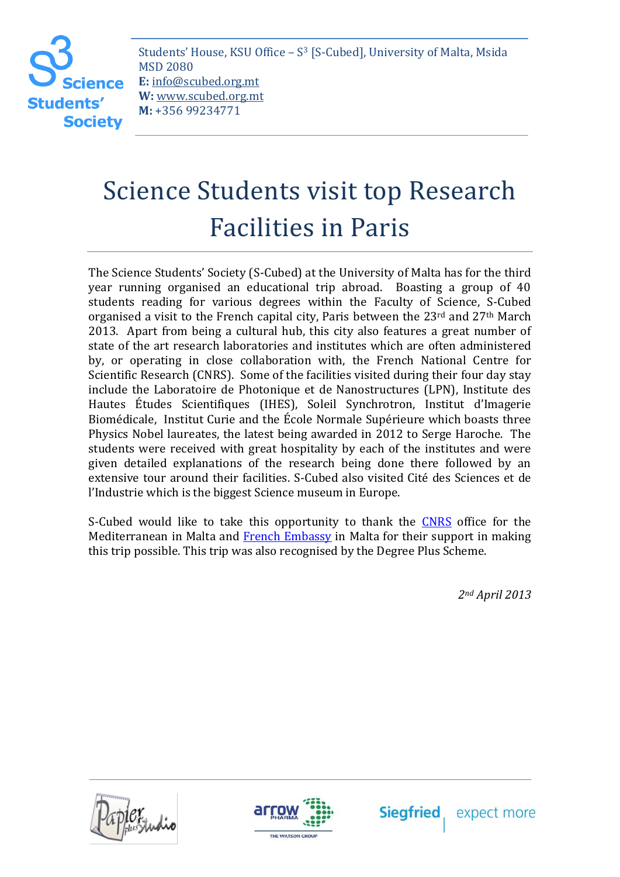**Students' Society** 

Students' House, KSU Office – S <sup>3</sup> [S-Cubed], University of Malta, Msida MSD 2080 **E:** info@scubed.org.mt **W:** www.scubed.org.mt **M:** +356 99234771

## Science Students visit top Research Facilities in Paris

The Science Students' Society (S-Cubed) at the University of Malta has for the third year running organised an educational trip abroad. Boasting a group of 40 students reading for various degrees within the Faculty of Science, S-Cubed organised a visit to the French capital city, Paris between the 23<sup>rd</sup> and 27<sup>th</sup> March 2013. Apart from being a cultural hub, this city also features a great number of state of the art research laboratories and institutes which are often administered by, or operating in close collaboration with, the French National Centre for Scientific Research (CNRS). Some of the facilities visited during their four day stay include the Laboratoire de Photonique et de Nanostructures (LPN), Institute des Hautes Études Scientifiques (IHES), Soleil Synchrotron, Institut d'Imagerie Biomédicale, Institut Curie and the École Normale Supérieure which boasts three Physics Nobel laureates, the latest being awarded in 2012 to Serge Haroche. The students were received with great hospitality by each of the institutes and were given detailed explanations of the research being done there followed by an extensive tour around their facilities. S-Cubed also visited Cité des Sciences et de l'Industrie which is the biggest Science museum in Europe.

S-Cubed would like to take this opportunity to thank the [CNRS](http://www.cnrs.fr/) office for the Mediterranean in Malta and [French Embassy](http://www.ambafrance-mt.org/-English-) in Malta for their support in making this trip possible. This trip was also recognised by the Degree Plus Scheme.

*2nd April 2013*

expect more





**Siegfried**